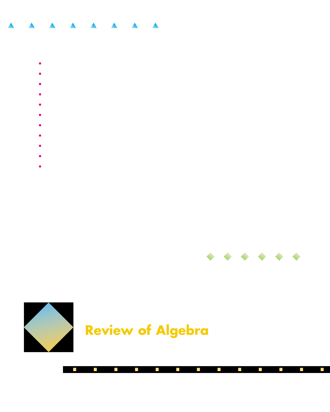- 
- 
- 
- 
- 
- 
- 
- 
- 
- 



Г Г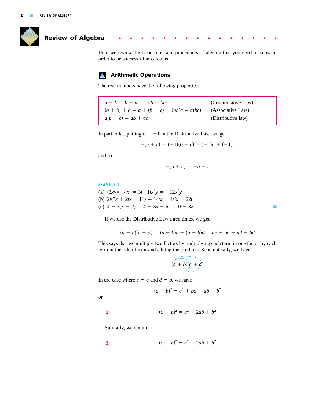

# **Review of Algebra**

Here we review the basic rules and procedures of algebra that you need to know in order to be successful in calculus.

# **Arithmetic Operations**

The real numbers have the following properties:

(Commutative Law) (Associative Law) (Distributive law)  $a(b + c) = ab + ac$  $(a + b) + c = a + (b + c)$   $(ab)c = a(bc)$  $a + b = b + a$   $ab =$  $ab = ba$ 

In particular, putting  $a = -1$  in the Distributive Law, we get

$$
-(b + c) = (-1)(b + c) = (-1)b + (-1)c
$$

and so

$$
-(b + c) = -b - c
$$

# **EXAMPLE 1**

(a)  $(3xy)(-4x) = 3(-4)x^2y = -12x^2y$ (b)  $2t(7x + 2tx - 11) = 14tx + 4t^2x - 22t$ (c)  $4 - 3(x - 2) = 4 - 3x + 6 = 10 - 3x$ 

If we use the Distributive Law three times, we get

$$
(a + b)(c + d) = (a + b)c + (a + b)d = ac + bc + ad + bd
$$

This says that we multiply two factors by multiplying each term in one factor by each term in the other factor and adding the products. Schematically, we have

$$
(a+b)(c+d)
$$

In the case where  $c = a$  and  $d = b$ , we have

$$
(a + b)^2 = a^2 + ba + ab + b^2
$$

or

$$
(a + b)^2 = a^2 + 2ab + b^2
$$

Similarly, we obtain

$$
(a -
$$

$$
(a - b)^2 = a^2 - 2ab + b^2
$$

b.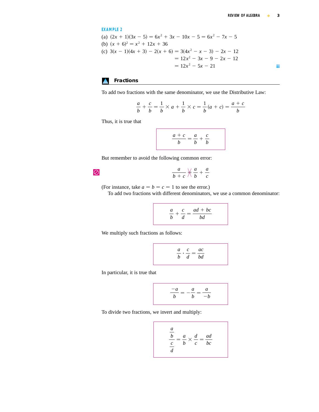EXAMPLE 2  
\n(a) 
$$
(2x + 1)(3x - 5) = 6x^2 + 3x - 10x - 5 = 6x^2 - 7x - 5
$$
  
\n(b)  $(x + 6)^2 = x^2 + 12x + 36$   
\n(c)  $3(x - 1)(4x + 3) - 2(x + 6) = 3(4x^2 - x - 3) - 2x - 12$   
\n $= 12x^2 - 3x - 9 - 2x - 12$   
\n $= 12x^2 - 5x - 21$ 

# **Fractions**

To add two fractions with the same denominator, we use the Distributive Law:

$$
\frac{a}{b} + \frac{c}{b} = \frac{1}{b} \times a + \frac{1}{b} \times c = \frac{1}{b}(a + c) = \frac{a + c}{b}
$$

Thus, it is true that

$$
\frac{a+c}{b} = \frac{a}{b} + \frac{c}{b}
$$

But remember to avoid the following common error:

$$
f_{\rm{max}}
$$

 $\overline{\varnothing}$ 

$$
\frac{a}{b+c}\underset{b}{\searrow}\frac{a}{b}+\frac{a}{c}
$$

(For instance, take  $a = b = c = 1$  to see the error.)

To add two fractions with different denominators, we use a common denominator:

$$
\frac{a}{b} + \frac{c}{d} = \frac{ad + bc}{bd}
$$

We multiply such fractions as follows:

$$
\frac{a}{b} \cdot \frac{c}{d} = \frac{ac}{bd}
$$

In particular, it is true that

$$
\frac{-a}{b} = -\frac{a}{b} = \frac{a}{-b}
$$

To divide two fractions, we invert and multiply:

$$
\frac{\frac{a}{b}}{\frac{c}{d}} = \frac{a}{b} \times \frac{d}{c} = \frac{ad}{bc}
$$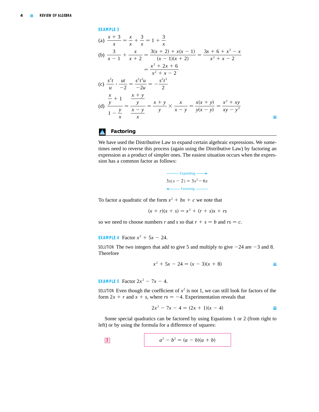# **EXAMPLE 3**

(a) 
$$
\frac{x+3}{x} = \frac{x}{x} + \frac{3}{x} = 1 + \frac{3}{x}
$$
  
\n(b) 
$$
\frac{3}{x-1} + \frac{x}{x+2} = \frac{3(x+2) + x(x-1)}{(x-1)(x+2)} = \frac{3x+6+x^2-x}{x^2+x-2}
$$
  
\n
$$
= \frac{x^2+2x+6}{x^2+x-2}
$$
  
\n(c) 
$$
\frac{s^2t}{u} \cdot \frac{ut}{-2} = \frac{s^2t^2u}{-2u} = -\frac{s^2t^2}{2}
$$
  
\n(d) 
$$
\frac{\frac{x}{y}+1}{1-\frac{y}{x}} = \frac{\frac{x+y}{y}}{\frac{x-y}{x}} = \frac{x+y}{y} \times \frac{x}{x-y} = \frac{x(x+y)}{y(x-y)} = \frac{x^2+xy}{xy-y^2}
$$

# **Factoring**

We have used the Distributive Law to expand certain algebraic expressions. We sometimes need to reverse this process (again using the Distributive Law) by factoring an expression as a product of simpler ones. The easiest situation occurs when the expression has a common factor as follows:

Expanding 
$$
3x(x - 2) = 3x^2 - 6x
$$
\n\n $\leftarrow$  Factoring

To factor a quadratic of the form  $x^2 + bx + c$  we note that

 $(x + r)(x + s) = x^2 + (r + s)x + rs$ 

so we need to choose numbers r and s so that  $r + s = b$  and  $rs = c$ .

**EXAMPLE 4** Factor  $x^2 + 5x - 24$ .

SOLUTION The two integers that add to give 5 and multiply to give  $-24$  are  $-3$  and 8. Therefore

$$
x^2 + 5x - 24 = (x - 3)(x + 8)
$$

i.

**EXAMPLE 5** Factor  $2x^2 - 7x - 4$ .

SOLUTION Even though the coefficient of  $x^2$  is not 1, we can still look for factors of the form  $2x + r$  and  $x + s$ , where  $rs = -4$ . Experimentation reveals that

$$
2x^2 - 7x - 4 = (2x + 1)(x - 4)
$$

Some special quadratics can be factored by using Equations 1 or 2 (from right to left) or by using the formula for a difference of squares:

$$
a^2 - b^2 = (a - b)(a + b)
$$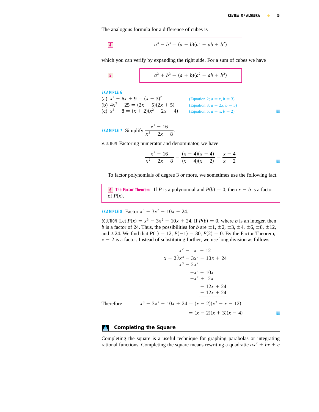h.

The analogous formula for a difference of cubes is

4 
$$
a^3 - b^3 = (a - b)(a^2 + ab + b^2)
$$

which you can verify by expanding the right side. For a sum of cubes we have

$$
a^3 + b^3 = (a + b)(a^2 - ab + b^2)
$$

**EXAMPLE 6** (a)  $x^2 - 6x + 9 = (x - 3)^2$  (Equation 2;  $a = x, b = 3$ ) (b)  $4x^2 - 25 = (2x - 5)(2x + 5)$  (Equation 3;  $a = 2x, b = 5$ ) (c)  $x^3 + 8 = (x + 2)(x^2 - 2x + 4)$  (Equation 5;  $a = x, b = 2$ ) (Equation 5;  $a = x, b = 2$ ) (Equation 3;  $a = 2x, b = 5$ ) (Equation 2;  $a = x, b = 3$ )

EXAMPLE 7 Simplify 
$$
\frac{x^2 - 16}{x^2 - 2x - 8}
$$
.

SOLUTION Factoring numerator and denominator, we have

$$
\frac{x^2 - 16}{x^2 - 2x - 8} = \frac{(x - 4)(x + 4)}{(x - 4)(x + 2)} = \frac{x + 4}{x + 2}
$$

To factor polynomials of degree 3 or more, we sometimes use the following fact.

**6 The Factor Theorem** If P is a polynomial and  $P(b) = 0$ , then  $x - b$  is a factor of  $P(x)$ .

**EXAMPLE 8** Factor  $x^3 - 3x^2 - 10x + 24$ .

**SOLUTION** Let  $P(x) = x^3 - 3x^2 - 10x + 24$ . If  $P(b) = 0$ , where *b* is an integer, then *b* is a factor of 24. Thus, the possibilities for *b* are  $\pm 1$ ,  $\pm 2$ ,  $\pm 3$ ,  $\pm 4$ ,  $\pm 6$ ,  $\pm 8$ ,  $\pm 12$ , and  $\pm 24$ . We find that  $P(1) = 12$ ,  $P(-1) = 30$ ,  $P(2) = 0$ . By the Factor Theorem,  $x - 2$  is a factor. Instead of substituting further, we use long division as follows:

$$
\begin{array}{r}\nx^2 - x - 12 \\
x - 2 \overline{\smash{\big)}\ x^3 - 3x^2 - 10x + 24} \\
\underline{x^3 - 2x^2} \\
-x^2 - 10x \\
\underline{-x^2 + 2x} \\
-12x + 24 \\
\underline{-12x + 24} \\
x^3 - 3x^2 - 10x + 24 = (x - 2)(x^2 - x - 12) \\
\end{array}
$$
\nTherefore

\n
$$
x^3 - 3x^2 - 10x + 24 = (x - 2)(x^2 - x - 12) \\
\phantom{x^3 - 3x^2 - 2x^2} = (x - 2)(x + 3)(x - 4)
$$

### **Completing the Square**

Completing the square is a useful technique for graphing parabolas or integrating rational functions. Completing the square means rewriting a quadratic  $ax^2 + bx + c$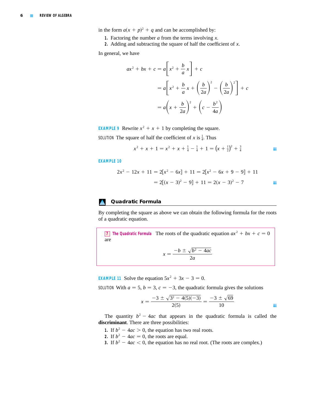in the form  $a(x + p)^2 + q$  and can be accomplished by:

- **1.** Factoring the number  $a$  from the terms involving  $x$ .
- 2. Adding and subtracting the square of half the coefficient of  $x$ .

In general, we have

$$
ax^{2} + bx + c = a\left[x^{2} + \frac{b}{a}x\right] + c
$$
  
=  $a\left[x^{2} + \frac{b}{a}x + \left(\frac{b}{2a}\right)^{2} - \left(\frac{b}{2a}\right)^{2}\right] + c$   
=  $a\left(x + \frac{b}{2a}\right)^{2} + \left(c - \frac{b^{2}}{4a}\right)$ 

**EXAMPLE 9** Rewrite  $x^2 + x + 1$  by completing the square.

SOLUTION The square of half the coefficient of x is  $\frac{1}{4}$ . Thus

$$
x^{2} + x + 1 = x^{2} + x + \frac{1}{4} - \frac{1}{4} + 1 = (x + \frac{1}{2})^{2} + \frac{3}{4}
$$

**EXAMPLE 10**

$$
2x2 - 12x + 11 = 2[x2 - 6x] + 11 = 2[x2 - 6x + 9 - 9] + 11
$$

$$
= 2[(x - 3)2 - 9] + 11 = 2(x - 3)2 - 7
$$

### **Quadratic Formula**

By completing the square as above we can obtain the following formula for the roots of a quadratic equation.

**T** The Quadratic Formula The roots of the quadratic equation  $ax^2 + bx + c = 0$ are

$$
x = \frac{-b \pm \sqrt{b^2 - 4ac}}{2a}
$$

**EXAMPLE 11** Solve the equation  $5x^2 + 3x - 3 = 0$ .

SOLUTION With  $a = 5$ ,  $b = 3$ ,  $c = -3$ , the quadratic formula gives the solutions

$$
x = \frac{-3 \pm \sqrt{3^2 - 4(5)(-3)}}{2(5)} = \frac{-3 \pm \sqrt{69}}{10}
$$

The quantity  $b^2 - 4ac$  that appears in the quadratic formula is called the **discriminant**. There are three possibilities:

- **1.** If  $b^2 4ac > 0$ , the equation has two real roots.
- 2. If  $b^2 4ac = 0$ , the roots are equal.
- **3.** If  $b^2 4ac < 0$ , the equation has no real root. (The roots are complex.)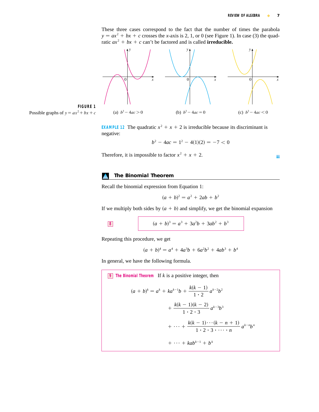These three cases correspond to the fact that the number of times the parabola  $y = ax^2 + bx + c$  crosses the *x*-axis is 2, 1, or 0 (see Figure 1). In case (3) the quadratic  $ax^2 + bx + c$  can't be factored and is called **irreducible.** 



**FIGURE 1** Possible graphs of  $y = ax^2 + bx + c$ 

> **EXAMPLE 12** The quadratic  $x^2 + x + 2$  is irreducible because its discriminant is negative:

$$
b^2 - 4ac = 1^2 - 4(1)(2) = -7 < 0
$$

Therefore, it is impossible to factor  $x^2 + x + 2$ .

h.

### **The Binomial Theorem**

Recall the binomial expression from Equation 1:

$$
(a + b)^2 = a^2 + 2ab + b^2
$$

If we multiply both sides by  $(a + b)$  and simplify, we get the binomial expansion

8 
$$
(a+b)^3 = a^3 + 3a^2b + 3ab^2 + b^3
$$

Repeating this procedure, we get

$$
(a + b)4 = a4 + 4a3b + 6a2b2 + 4ab3 + b4
$$

In general, we have the following formula.

**9** The Binomial Theorem If  $k$  is a positive integer, then  $+ \cdots + kab^{k-1} + b^k$  $+\cdots+\frac{k(k-1)\cdots(k-n+1)}{n-2}$  $\frac{1}{1 \cdot 2 \cdot 3 \cdot \cdots \cdot n} a^{k-n}b^n$  $+\frac{k(k-1)(k-2)}{k^2}$  $\frac{1}{1 \cdot 2 \cdot 3} a^{k-3} b^3$  $(a + b)^k = a^k + ka^{k-1}b + \frac{k(k-1)}{1-a}$  $\frac{(k-1)}{1 \cdot 2} a^{k-2} b^2$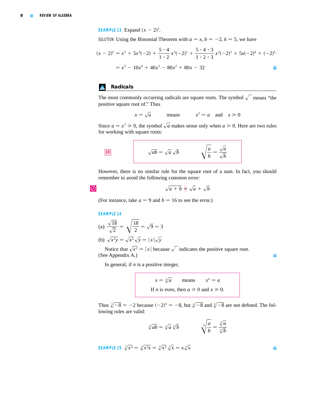**EXAMPLE 13** Expand  $(x - 2)^5$ .

SOLUTION Using the Binomial Theorem with  $a = x, b = -2, k = 5$ , we have

$$
(x - 2)^5 = x^5 + 5x^4(-2) + \frac{5 \cdot 4}{1 \cdot 2}x^3(-2)^2 + \frac{5 \cdot 4 \cdot 3}{1 \cdot 2 \cdot 3}x^2(-2)^3 + 5x(-2)^4 + (-2)^5
$$
  
=  $x^5 - 10x^4 + 40x^3 - 80x^2 + 80x - 32$ 

# **Radicals**

The most commonly occurring radicals are square roots. The symbol  $\sqrt{\ }$  means "the positive square root of." Thus

$$
x = \sqrt{a}
$$
 means  $x^2 = a$  and  $x \ge 0$ 

Since  $a = x^2 \ge 0$ , the symbol  $\sqrt{a}$  makes sense only when  $a \ge 0$ . Here are two rules for working with square roots:

$$
\sqrt{ab} = \sqrt{a} \sqrt{b} \qquad \sqrt{\frac{a}{b}} = \frac{\sqrt{a}}{\sqrt{b}}
$$

However, there is no similar rule for the square root of a sum. In fact, you should remember to avoid the following common error:

```
\overline{\varnothing}
```

$$
\sqrt{a+b} \not\stackrel{\scriptstyle\vee}{\scriptstyle\sim} \sqrt{a} + \sqrt{b}
$$

(For instance, take  $a = 9$  and  $b = 16$  to see the error.)

### **EXAMPLE 14**

(a) 
$$
\frac{\sqrt{18}}{\sqrt{2}} = \sqrt{\frac{18}{2}} = \sqrt{9} = 3
$$

(b)  $\sqrt{x^2y} = \sqrt{x^2}\sqrt{y} = |x|\sqrt{y}$ 

Notice that  $\sqrt{x^2} = |x|$  because  $\sqrt{\ }$  indicates the positive square root. (See Appendix A.)

In general, if  $n$  is a positive integer,

$$
x = \sqrt[n]{a}
$$
 means  $x^n = a$   
If *n* is even, then  $a \ge 0$  and  $x \ge 0$ .

Thus  $\sqrt[3]{-8} = -2$  because  $(-2)^3 = -8$ , but  $\sqrt[4]{-8}$  and  $\sqrt[6]{-8}$  are not defined. The following rules are valid:

$$
\sqrt[n]{ab} = \sqrt[n]{a} \sqrt[n]{b} \qquad \qquad \sqrt[n]{\frac{a}{b}} = \frac{\sqrt[n]{a}}{\sqrt[n]{b}}
$$

**EXAMPLE 15** 
$$
\sqrt[3]{x^4} = \sqrt[3]{x^3x} = \sqrt[3]{x^3} \sqrt[3]{x} = x\sqrt[3]{x}
$$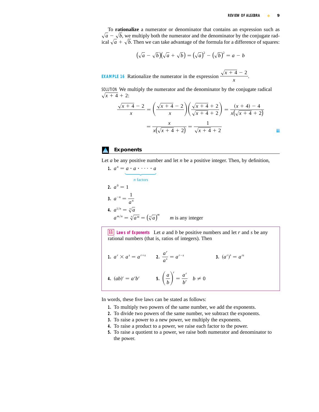To **rationalize** a numerator or denominator that contains an expression such as , we multiply both the numerator and the denominator by the conjugate radical  $\sqrt{a} + \sqrt{b}$ . Then we can take advantage of the formula for a difference of squares:  $\sqrt{a} - \sqrt{b}$ 

$$
(\sqrt{a} - \sqrt{b})(\sqrt{a} + \sqrt{b}) = (\sqrt{a})^2 - (\sqrt{b})^2 = a - b
$$

**EXAMPLE 16** Rationalize the numerator in the expression  $\frac{\sqrt{x+4}-2}{x+4}$ . *x*

SOLUTION We multiply the numerator and the denominator by the conjugate radical  $\sqrt{x+4} + 2$ :

$$
\frac{\sqrt{x+4}-2}{x} = \left(\frac{\sqrt{x+4}-2}{x}\right)\left(\frac{\sqrt{x+4}+2}{\sqrt{x+4}+2}\right) = \frac{(x+4)-4}{x(\sqrt{x+4}+2)}
$$

$$
= \frac{x}{x(\sqrt{x+4}+2)} = \frac{1}{\sqrt{x+4}+2}
$$

# **Exponents**

Let  $a$  be any positive number and let  $n$  be a positive integer. Then, by definition,

1. 
$$
a^n = a \cdot a \cdot \cdots \cdot a
$$
  
\n $n \text{ factors}$   
\n2.  $a^0 = 1$   
\n3.  $a^{-n} = \frac{1}{a^n}$   
\n4.  $a^{1/n} = \sqrt[n]{a}$   
\n $a^{m/n} = \sqrt[n]{a^m} = (\sqrt[n]{a})^m$  *m* is any integer

**11** Laws of Exponents Let a and b be positive numbers and let r and s be any rational numbers (that is, ratios of integers). Then

1. 
$$
a^r \times a^s = a^{r+s}
$$
  
\n2.  $\frac{a^r}{a^s} = a^{r-s}$   
\n3.  $(a^r)^s = a^{rs}$   
\n4.  $(ab)^r = a^r b^r$   
\n5.  $\left(\frac{a}{b}\right)^r = \frac{a^r}{b^r}$   $b \neq 0$ 

In words, these five laws can be stated as follows:

- **1.** To multiply two powers of the same number, we add the exponents.
- **2.** To divide two powers of the same number, we subtract the exponents.
- **3.** To raise a power to a new power, we multiply the exponents.
- **4.** To raise a product to a power, we raise each factor to the power.
- **5.** To raise a quotient to a power, we raise both numerator and denominator to the power.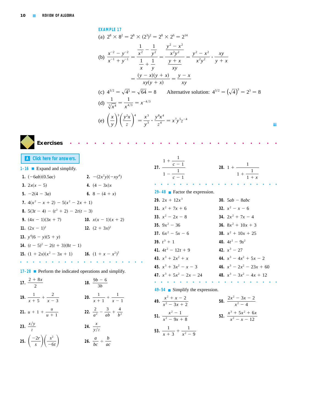# **EXAMPLE 17**

(a) 
$$
2^8 \times 8^2 = 2^8 \times (2^3)^2 = 2^8 \times 2^6 = 2^{14}
$$
  
\n(b)  $\frac{x^{-2} - y^{-2}}{x^{-1} + y^{-1}} = \frac{\frac{1}{x^2} - \frac{1}{y^2}}{\frac{1}{x} + \frac{1}{y}} = \frac{\frac{y^2 - x^2}{x^2 y^2}}{\frac{y + x}{xy}} = \frac{y^2 - x^2}{x^2 y^2} \cdot \frac{xy}{y + x}$   
\n $= \frac{(y - x)(y + x)}{xy(y + x)} = \frac{y - x}{xy}$   
\n(c)  $4^{3/2} = \sqrt{4^3} = \sqrt{64} = 8$  Alternative solution:  $4^{3/2} = (\sqrt{4})^3 = 2^3 = 8$   
\n(d)  $\frac{1}{\sqrt[3]{x^4}} = \frac{1}{x^{4/3}} = x^{-4/3}$   
\n(e)  $(\frac{x}{y})^3 (\frac{y^2 x}{z})^4 = \frac{x^3}{y^3} \cdot \frac{y^8 x^4}{z^4} = x^7 y^5 z^{-4}$ 



**A [Click here for answers.](#page-11-0) 1–16** ■ Expand and simplify. **1.**  $(-6ab)(0.5ac)$  **2.**  $(-6ab)(0.5ac)$  **2**  $-(2x^2y)(-xy^4)$ 

| 3. $2x(x - 5)$                                                   | 4. $(4 - 3x)x$          |
|------------------------------------------------------------------|-------------------------|
| 5. $-2(4 - 3a)$                                                  | 6. 8 – $(4 + x)$        |
| 7. $4(x^2 - x + 2) - 5(x^2 - 2x + 1)$                            |                         |
| 8. $5(3t-4)-(t^2+2)-2t(t-3)$                                     |                         |
| <b>9.</b> $(4x - 1)(3x + 7)$                                     | 10. $x(x - 1)(x + 2)$   |
| 11. $(2x - 1)^2$                                                 | <b>12.</b> $(2 + 3x)^2$ |
| 13. $y^4(6 - y)(5 + y)$                                          |                         |
| 14. $(t-5)^2$ – 2(t + 3)(8t – 1)                                 |                         |
| <b>15.</b> $(1 + 2x)(x^2 - 3x + 1)$ <b>16.</b> $(1 + x - x^2)^2$ |                         |
|                                                                  |                         |

**17–28** ■ Perform the indicated operations and simplify.

17. 
$$
\frac{2+8x}{2}
$$
  
\n18.  $\frac{9b-6}{3b}$   
\n19.  $\frac{1}{x+5} + \frac{2}{x-3}$   
\n20.  $\frac{1}{x+1} + \frac{1}{x-1}$   
\n21.  $u + 1 + \frac{u}{u+1}$   
\n22.  $\frac{2}{a^2} - \frac{3}{ab} + \frac{4}{b^2}$   
\n23.  $\frac{x/y}{z}$   
\n24.  $\frac{x}{y/z}$   
\n25.  $\left(\frac{-2r}{s}\right)\left(\frac{s^2}{-6t}\right)$   
\n26.  $\frac{a}{bc} \div \frac{b}{ac}$ 

| 27 |   | $c-1$<br>$c-1$ |  |   |   |        | 28.1 |   |                | $+\frac{1}{1+x}$ |   |  |   |
|----|---|----------------|--|---|---|--------|------|---|----------------|------------------|---|--|---|
| ٠  | ٠ | $\mathbf{r}$   |  | ٠ | × | $\sim$ | л.   | ٠ | $\blacksquare$ | - 10             | ٠ |  | ٠ |

L.

**29–48** ■ Factor the expression.

| 29. $2x + 12x^3$           | 30. $5ab - 8abc$            |
|----------------------------|-----------------------------|
| 31. $x^2 + 7x + 6$         | 32. $x^2 - x - 6$           |
| 33. $x^2 - 2x - 8$         | 34. $2x^2 + 7x - 4$         |
| 35. $9x^2 - 36$            | 36. $8x^2 + 10x + 3$        |
| 37. $6x^2 - 5x - 6$        | 38. $x^2 + 10x + 25$        |
| 39. $t^3 + 1$              | 40. $4t^2 - 9s^2$           |
| 41. $4t^2 - 12t + 9$       | 42. $x^3 - 27$              |
| 43. $x^3 + 2x^2 + x$       | 44. $x^3 - 4x^2 + 5x - 2$   |
| 45. $x^3 + 3x^2 - x - 3$   | 46. $x^3 - 2x^2 - 23x + 60$ |
| 47. $x^3 + 5x^2 - 2x - 24$ | 48. $x^3 - 3x^2 - 4x + 12$  |
| .                          | .                           |

**49–54** ■ Simplify the expression.

49. 
$$
\frac{x^2 + x - 2}{x^2 - 3x + 2}
$$
  
\n50. 
$$
\frac{2x^2 - 3x - 2}{x^2 - 4}
$$
  
\n51. 
$$
\frac{x^2 - 1}{x^2 - 9x + 8}
$$
  
\n52. 
$$
\frac{x^3 + 5x^2 + 6x}{x^2 - x - 12}
$$
  
\n53. 
$$
\frac{1}{x + 3} + \frac{1}{x^2 - 9}
$$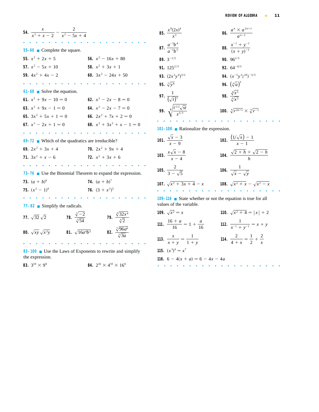| 54. $\frac{x}{x^2 + x - 2} - \frac{2}{x^2 - 5x + 4}$                    |                              | 85. $\frac{x^9(2.)}{x^3}$         |
|-------------------------------------------------------------------------|------------------------------|-----------------------------------|
| 55-60 Complete the square.                                              |                              | 87. $rac{a^{-3}b}{a^{-5}b}$       |
| 55. $x^2 + 2x + 5$                                                      | 56. $x^2 - 16x + 80$         | 89. $3^{-1/2}$                    |
| 57. $x^2 - 5x + 10$                                                     | <b>58.</b> $x^2 + 3x + 1$    | 91. $125^2$                       |
| 59. $4x^2 + 4x - 2$                                                     | 60. $3x^2 - 24x + 50$        | <b>93.</b> $(2x^2)$               |
|                                                                         |                              | 95. $\sqrt[5]{y^6}$               |
| $61-68$ Solve the equation.                                             |                              |                                   |
| 61. $x^2 + 9x - 10 = 0$                                                 | 62. $x^2 - 2x - 8 = 0$       | <b>97.</b> $\frac{1}{(\sqrt{t})}$ |
| 63. $x^2 + 9x - 1 = 0$                                                  | 64. $x^2 - 2x - 7 = 0$       | 99. $\sqrt[4]{\frac{t^{1}}{2}}$   |
| 65. $3x^2 + 5x + 1 = 0$                                                 | 66. $2x^2 + 7x + 2 = 0$      |                                   |
| 67. $x^3 - 2x + 1 = 0$                                                  | 68. $x^3 + 3x^2 + x - 1 = 0$ | $101 - 108$                       |
|                                                                         |                              |                                   |
| $69-72$ Which of the quadratics are irreducible?                        |                              | 101. $\frac{\sqrt{x}}{x-}$        |
| 69. $2x^2 + 3x + 4$                                                     | 70. $2x^2 + 9x + 4$          |                                   |
| 71. $3x^2 + x - 6$                                                      | 72. $x^2 + 3x + 6$           | 103. $\frac{x\sqrt{x}}{x}$        |
|                                                                         |                              | 105. $\frac{2}{3}$                |
| 73-76 $\blacksquare$ Use the Binomial Theorem to expand the expression. |                              |                                   |
| <b>73.</b> $(a + b)^6$                                                  | <b>74.</b> $(a + b)^7$       | 107. $\sqrt{x^2}$                 |
|                                                                         |                              |                                   |

| 85. $\frac{x^9(2x)^4}{x^3}$                      | <b>86.</b> $\frac{a^n \times a^{2n+1}}{a^{n-2}}$         |
|--------------------------------------------------|----------------------------------------------------------|
| 87. $rac{a^{-3}b^4}{a^{-5}b^5}$                  | <b>88.</b> $\frac{x^{-1} + y^{-1}}{(x + y)^{-1}}$        |
| 89. $3^{-1/2}$                                   | 90. $96^{1/5}$                                           |
| 91. $125^{2/3}$                                  | 92. $64^{-4/3}$                                          |
| <b>93.</b> $(2x^2y^4)^{3/2}$                     | <b>94.</b> $(x^{-5}y^3z^{10})^{-3/5}$                    |
| 95. $\sqrt[5]{y^6}$                              | <b>96.</b> $(\sqrt[4]{a})^3$                             |
| 97. $\frac{1}{(\sqrt{t})^5}$                     | 98. $\frac{\sqrt[8]{x^5}}{\sqrt[4]{x^3}}$                |
| 99. $\sqrt[4]{\frac{t^{1/2}\sqrt{st}}{s^{2/3}}}$ | <b>100.</b> $\sqrt[4]{r^{2n+1}} \times \sqrt[4]{r^{-1}}$ |
|                                                  |                                                          |
|                                                  |                                                          |

**101–108** ■ Rationalize the expression.

| 101. $\frac{\sqrt{x}-3}{x-9}$  | <b>102.</b> $\frac{(1/\sqrt{x})-1}{x-1}$      |
|--------------------------------|-----------------------------------------------|
| 103. $\frac{x\sqrt{x-8}}{x-4}$ | 104. $\frac{\sqrt{2} + h + \sqrt{2} - h}{h}$  |
| 105. $\frac{2}{3-\sqrt{5}}$    | <b>106.</b> $\frac{1}{\sqrt{x} - \sqrt{y}}$   |
| 107. $\sqrt{x^2 + 3x + 4} - x$ | <b>108.</b> $\sqrt{x^2 + x} - \sqrt{x^2 - x}$ |
|                                |                                               |

**109–116** ■ State whether or not the equation is true for all values of the variable.

**109.**  $\sqrt{x^2} = x$  **110.**  $\sqrt{x^2 + 4} = |x| + 2$ **111.**  $\frac{16+a}{16} = 1 + \frac{a}{16}$  **112.**  $\frac{1}{16}$ **113.**  $\frac{x}{x+y} = \frac{1}{1+y}$  **114.**  $\frac{2}{4+x} = \frac{1}{2}$ **115.**  $(x^3)^4 = x^7$ **116.**  $6 - 4(x + a) = 6 - 4x - 4a$  $rac{1}{2} + \frac{2}{x}$ *x*  $\frac{x}{x+y} = \frac{1}{1+y}$  $1 + y$  $\frac{16 + a}{16} = 1 + \frac{a}{16}$  **112.**  $\frac{1}{x^{-1} + y^{-1}} = x + y$ **109.**  $\sqrt{x^2} = x$ 

■■■■■■■■■■■■■■■■■■■■

**77–82** ■ Simplify the radicals.

■■■■■■■■■■■■■■■■■■■■

 $x^2 - 1)^4$ 

**77.**  $\sqrt{32}\sqrt{2}$  **78.**  $\frac{\sqrt{2}}{3\sqrt{24}}$  **79. 80.**  $\sqrt{xy} \sqrt{x^3y}$  **81.**  $\sqrt{16a^4b^3}$  **82.**  $\frac{\sqrt{90a}}{\sqrt[5]{3a}}$ ■■■■■■■■■■■■■■■■■■■■  $\sqrt[5]{96a^6}$  $\sqrt[5]{}$  $\sqrt[4]{32x^4}$  $\sqrt[4]{2}$  $\sqrt[3]{-2}$  $\sqrt{32} \sqrt{2}$  **78.**  $\frac{\sqrt{2}}{\sqrt[3]{54}}$ 

**75.**  $(x^2 - 1)^4$  **76.**  $(3 + x^2)^5$ 

**83–100** ■ Use the Laws of Exponents to rewrite and simplify the expression.

**83.**  $3^{10} \times 9^8$  **84.**  $2^{16} \times 4^{10} \times 16^6$